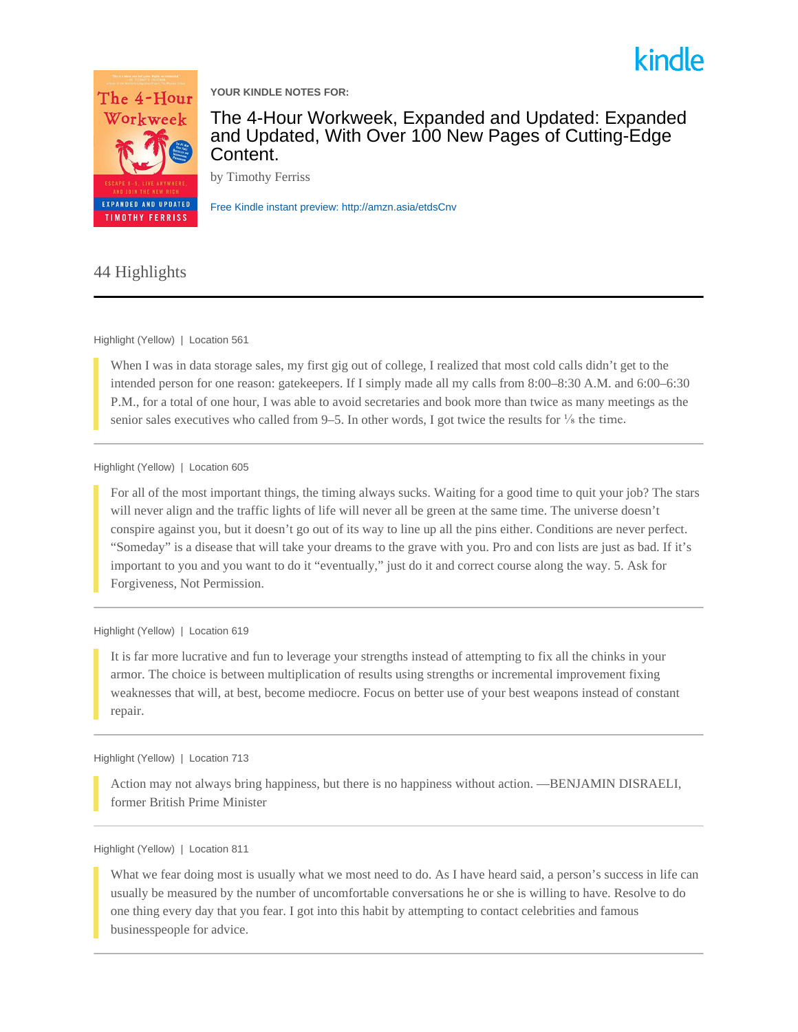



**YOUR KINDLE NOTES FOR:**

The 4-Hour Workweek, Expanded and Updated: Expanded and Updated, With Over 100 New Pages of Cutting-Edge Content.

by Timothy Ferriss

[Free Kindle instant preview: http://amzn.asia/etdsCnv](http://amzn.asia/etdsCnv)

## 44 Highlights

## Highlight (Yellow) | Location 561

When I was in data storage sales, my first gig out of college, I realized that most cold calls didn't get to the intended person for one reason: gatekeepers. If I simply made all my calls from 8:00–8:30 A.M. and 6:00–6:30 P.M., for a total of one hour, I was able to avoid secretaries and book more than twice as many meetings as the senior sales executives who called from  $9-5$ . In other words, I got twice the results for  $\frac{1}{8}$  the time.

## Highlight (Yellow) | Location 605

For all of the most important things, the timing always sucks. Waiting for a good time to quit your job? The stars will never align and the traffic lights of life will never all be green at the same time. The universe doesn't conspire against you, but it doesn't go out of its way to line up all the pins either. Conditions are never perfect. "Someday" is a disease that will take your dreams to the grave with you. Pro and con lists are just as bad. If it's important to you and you want to do it "eventually," just do it and correct course along the way. 5. Ask for Forgiveness, Not Permission.

## Highlight (Yellow) | Location 619

It is far more lucrative and fun to leverage your strengths instead of attempting to fix all the chinks in your armor. The choice is between multiplication of results using strengths or incremental improvement fixing weaknesses that will, at best, become mediocre. Focus on better use of your best weapons instead of constant repair.

## Highlight (Yellow) | Location 713

Action may not always bring happiness, but there is no happiness without action. —BENJAMIN DISRAELI, former British Prime Minister

## Highlight (Yellow) | Location 811

What we fear doing most is usually what we most need to do. As I have heard said, a person's success in life can usually be measured by the number of uncomfortable conversations he or she is willing to have. Resolve to do one thing every day that you fear. I got into this habit by attempting to contact celebrities and famous businesspeople for advice.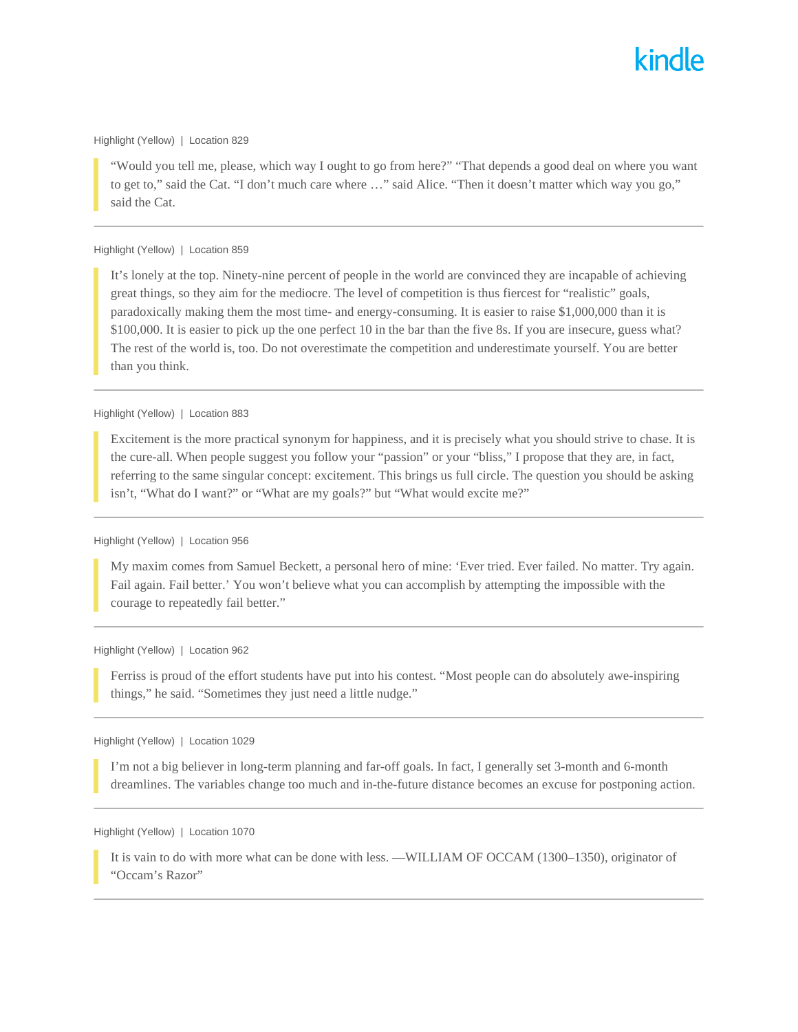#### Highlight (Yellow) | Location 829

"Would you tell me, please, which way I ought to go from here?" "That depends a good deal on where you want to get to," said the Cat. "I don't much care where …" said Alice. "Then it doesn't matter which way you go," said the Cat.

## Highlight (Yellow) | Location 859

It's lonely at the top. Ninety-nine percent of people in the world are convinced they are incapable of achieving great things, so they aim for the mediocre. The level of competition is thus fiercest for "realistic" goals, paradoxically making them the most time- and energy-consuming. It is easier to raise \$1,000,000 than it is \$100,000. It is easier to pick up the one perfect 10 in the bar than the five 8s. If you are insecure, guess what? The rest of the world is, too. Do not overestimate the competition and underestimate yourself. You are better than you think.

#### Highlight (Yellow) | Location 883

Excitement is the more practical synonym for happiness, and it is precisely what you should strive to chase. It is the cure-all. When people suggest you follow your "passion" or your "bliss," I propose that they are, in fact, referring to the same singular concept: excitement. This brings us full circle. The question you should be asking isn't, "What do I want?" or "What are my goals?" but "What would excite me?"

## Highlight (Yellow) | Location 956

My maxim comes from Samuel Beckett, a personal hero of mine: 'Ever tried. Ever failed. No matter. Try again. Fail again. Fail better.' You won't believe what you can accomplish by attempting the impossible with the courage to repeatedly fail better."

#### Highlight (Yellow) | Location 962

Ferriss is proud of the effort students have put into his contest. "Most people can do absolutely awe-inspiring things," he said. "Sometimes they just need a little nudge."

## Highlight (Yellow) | Location 1029

I'm not a big believer in long-term planning and far-off goals. In fact, I generally set 3-month and 6-month dreamlines. The variables change too much and in-the-future distance becomes an excuse for postponing action.

## Highlight (Yellow) | Location 1070

It is vain to do with more what can be done with less. —WILLIAM OF OCCAM (1300–1350), originator of "Occam's Razor"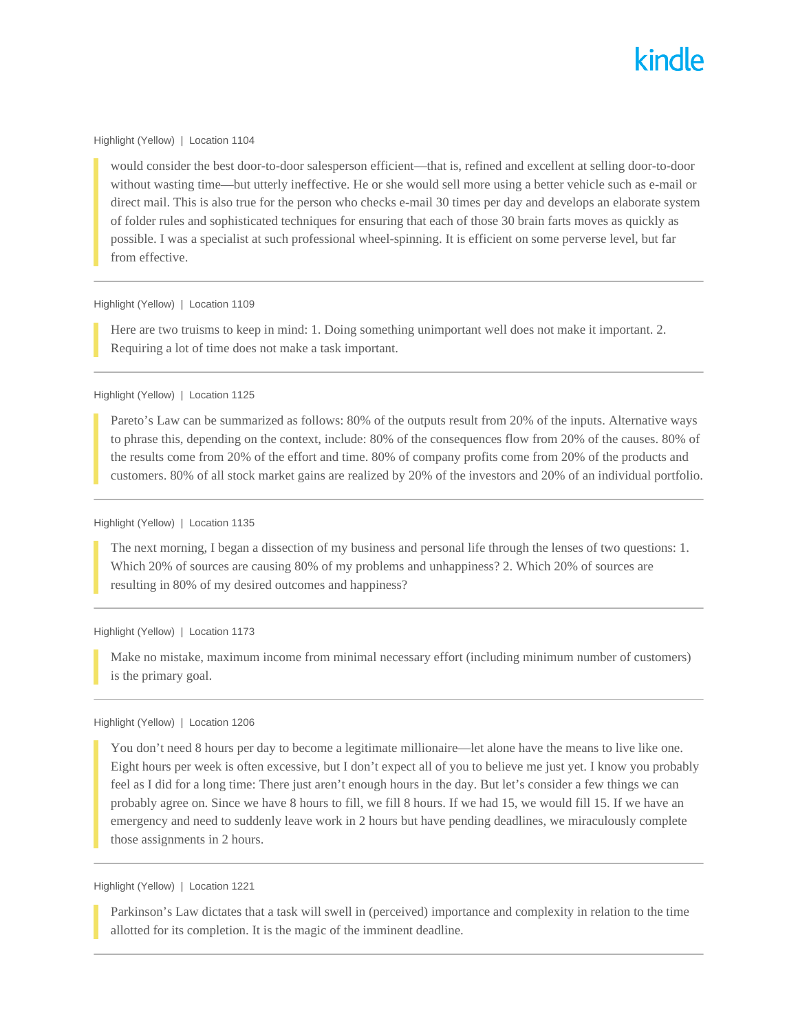#### Highlight (Yellow) | Location 1104

would consider the best door-to-door salesperson efficient—that is, refined and excellent at selling door-to-door without wasting time—but utterly ineffective. He or she would sell more using a better vehicle such as e-mail or direct mail. This is also true for the person who checks e-mail 30 times per day and develops an elaborate system of folder rules and sophisticated techniques for ensuring that each of those 30 brain farts moves as quickly as possible. I was a specialist at such professional wheel-spinning. It is efficient on some perverse level, but far from effective.

## Highlight (Yellow) | Location 1109

Here are two truisms to keep in mind: 1. Doing something unimportant well does not make it important. 2. Requiring a lot of time does not make a task important.

#### Highlight (Yellow) | Location 1125

Pareto's Law can be summarized as follows: 80% of the outputs result from 20% of the inputs. Alternative ways to phrase this, depending on the context, include: 80% of the consequences flow from 20% of the causes. 80% of the results come from 20% of the effort and time. 80% of company profits come from 20% of the products and customers. 80% of all stock market gains are realized by 20% of the investors and 20% of an individual portfolio.

## Highlight (Yellow) | Location 1135

The next morning, I began a dissection of my business and personal life through the lenses of two questions: 1. Which 20% of sources are causing 80% of my problems and unhappiness? 2. Which 20% of sources are resulting in 80% of my desired outcomes and happiness?

#### Highlight (Yellow) | Location 1173

Make no mistake, maximum income from minimal necessary effort (including minimum number of customers) is the primary goal.

## Highlight (Yellow) | Location 1206

You don't need 8 hours per day to become a legitimate millionaire—let alone have the means to live like one. Eight hours per week is often excessive, but I don't expect all of you to believe me just yet. I know you probably feel as I did for a long time: There just aren't enough hours in the day. But let's consider a few things we can probably agree on. Since we have 8 hours to fill, we fill 8 hours. If we had 15, we would fill 15. If we have an emergency and need to suddenly leave work in 2 hours but have pending deadlines, we miraculously complete those assignments in 2 hours.

#### Highlight (Yellow) | Location 1221

Parkinson's Law dictates that a task will swell in (perceived) importance and complexity in relation to the time allotted for its completion. It is the magic of the imminent deadline.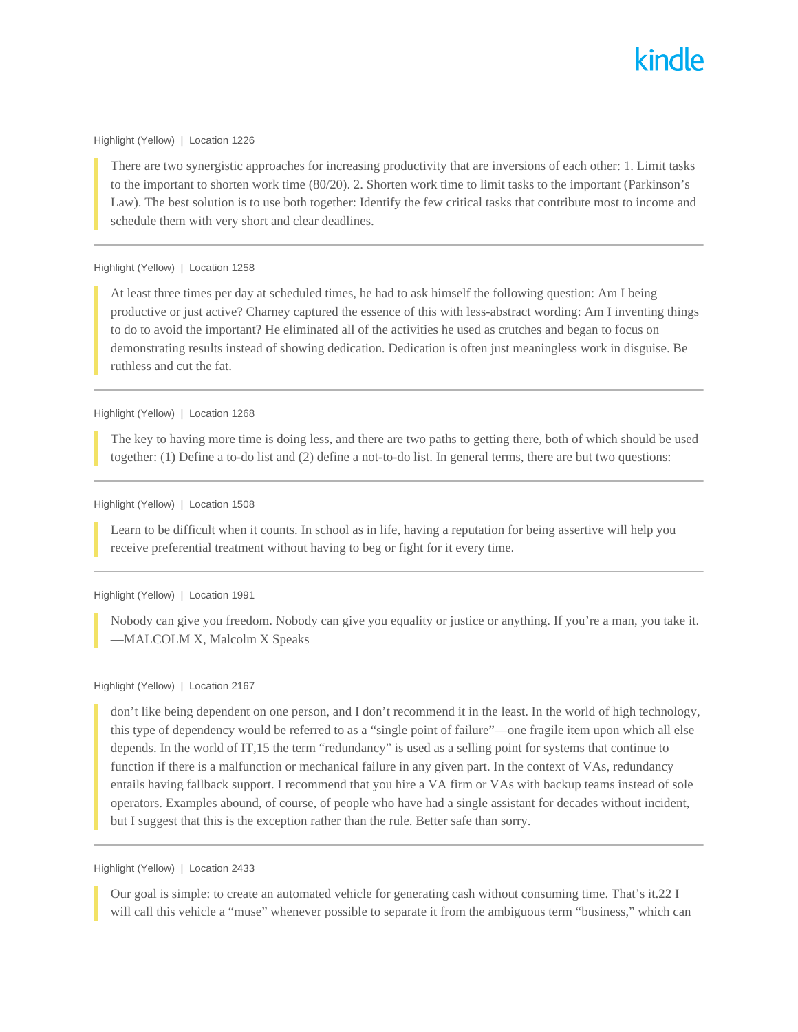#### Highlight (Yellow) | Location 1226

There are two synergistic approaches for increasing productivity that are inversions of each other: 1. Limit tasks to the important to shorten work time (80/20). 2. Shorten work time to limit tasks to the important (Parkinson's Law). The best solution is to use both together: Identify the few critical tasks that contribute most to income and schedule them with very short and clear deadlines.

## Highlight (Yellow) | Location 1258

At least three times per day at scheduled times, he had to ask himself the following question: Am I being productive or just active? Charney captured the essence of this with less-abstract wording: Am I inventing things to do to avoid the important? He eliminated all of the activities he used as crutches and began to focus on demonstrating results instead of showing dedication. Dedication is often just meaningless work in disguise. Be ruthless and cut the fat.

#### Highlight (Yellow) | Location 1268

The key to having more time is doing less, and there are two paths to getting there, both of which should be used together: (1) Define a to-do list and (2) define a not-to-do list. In general terms, there are but two questions:

#### Highlight (Yellow) | Location 1508

Learn to be difficult when it counts. In school as in life, having a reputation for being assertive will help you receive preferential treatment without having to beg or fight for it every time.

## Highlight (Yellow) | Location 1991

Nobody can give you freedom. Nobody can give you equality or justice or anything. If you're a man, you take it. —MALCOLM X, Malcolm X Speaks

## Highlight (Yellow) | Location 2167

don't like being dependent on one person, and I don't recommend it in the least. In the world of high technology, this type of dependency would be referred to as a "single point of failure"—one fragile item upon which all else depends. In the world of IT,15 the term "redundancy" is used as a selling point for systems that continue to function if there is a malfunction or mechanical failure in any given part. In the context of VAs, redundancy entails having fallback support. I recommend that you hire a VA firm or VAs with backup teams instead of sole operators. Examples abound, of course, of people who have had a single assistant for decades without incident, but I suggest that this is the exception rather than the rule. Better safe than sorry.

## Highlight (Yellow) | Location 2433

Our goal is simple: to create an automated vehicle for generating cash without consuming time. That's it.22 I will call this vehicle a "muse" whenever possible to separate it from the ambiguous term "business," which can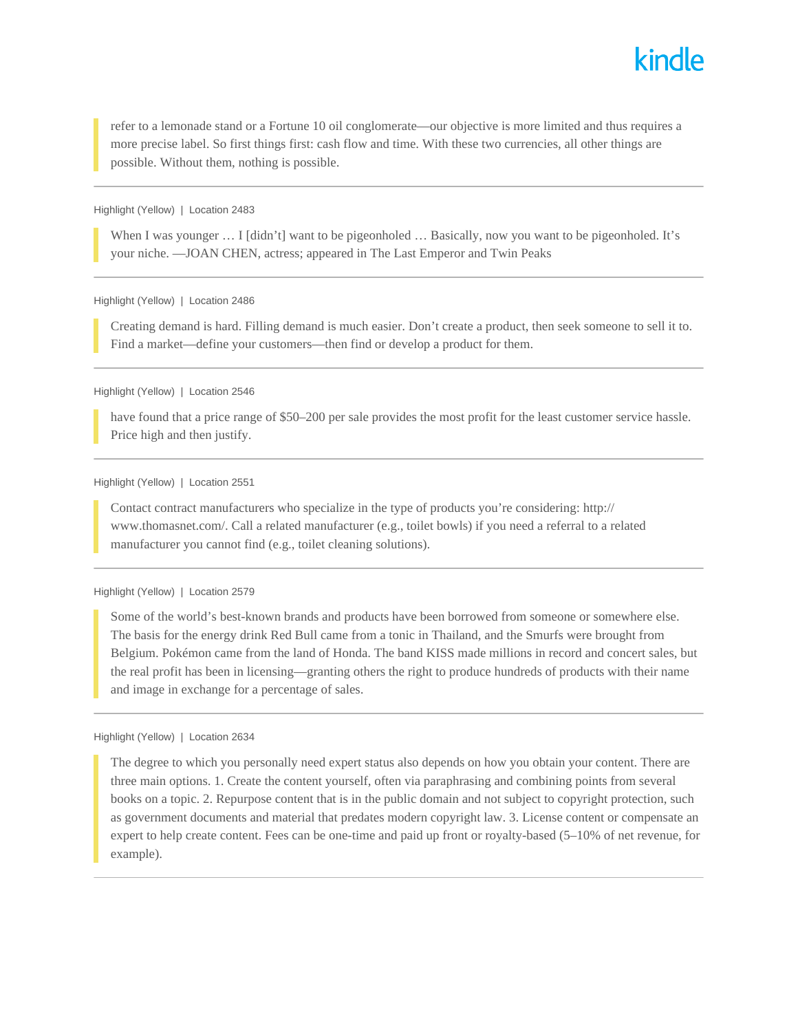

refer to a lemonade stand or a Fortune 10 oil conglomerate—our objective is more limited and thus requires a more precise label. So first things first: cash flow and time. With these two currencies, all other things are possible. Without them, nothing is possible.

#### Highlight (Yellow) | Location 2483

When I was younger ... I [didn't] want to be pigeonholed ... Basically, now you want to be pigeonholed. It's your niche. —JOAN CHEN, actress; appeared in The Last Emperor and Twin Peaks

Highlight (Yellow) | Location 2486

Creating demand is hard. Filling demand is much easier. Don't create a product, then seek someone to sell it to. Find a market—define your customers—then find or develop a product for them.

#### Highlight (Yellow) | Location 2546

have found that a price range of \$50–200 per sale provides the most profit for the least customer service hassle. Price high and then justify.

#### Highlight (Yellow) | Location 2551

Contact contract manufacturers who specialize in the type of products you're considering: http:// www.thomasnet.com/. Call a related manufacturer (e.g., toilet bowls) if you need a referral to a related manufacturer you cannot find (e.g., toilet cleaning solutions).

#### Highlight (Yellow) | Location 2579

Some of the world's best-known brands and products have been borrowed from someone or somewhere else. The basis for the energy drink Red Bull came from a tonic in Thailand, and the Smurfs were brought from Belgium. Pokémon came from the land of Honda. The band KISS made millions in record and concert sales, but the real profit has been in licensing—granting others the right to produce hundreds of products with their name and image in exchange for a percentage of sales.

## Highlight (Yellow) | Location 2634

The degree to which you personally need expert status also depends on how you obtain your content. There are three main options. 1. Create the content yourself, often via paraphrasing and combining points from several books on a topic. 2. Repurpose content that is in the public domain and not subject to copyright protection, such as government documents and material that predates modern copyright law. 3. License content or compensate an expert to help create content. Fees can be one-time and paid up front or royalty-based (5–10% of net revenue, for example).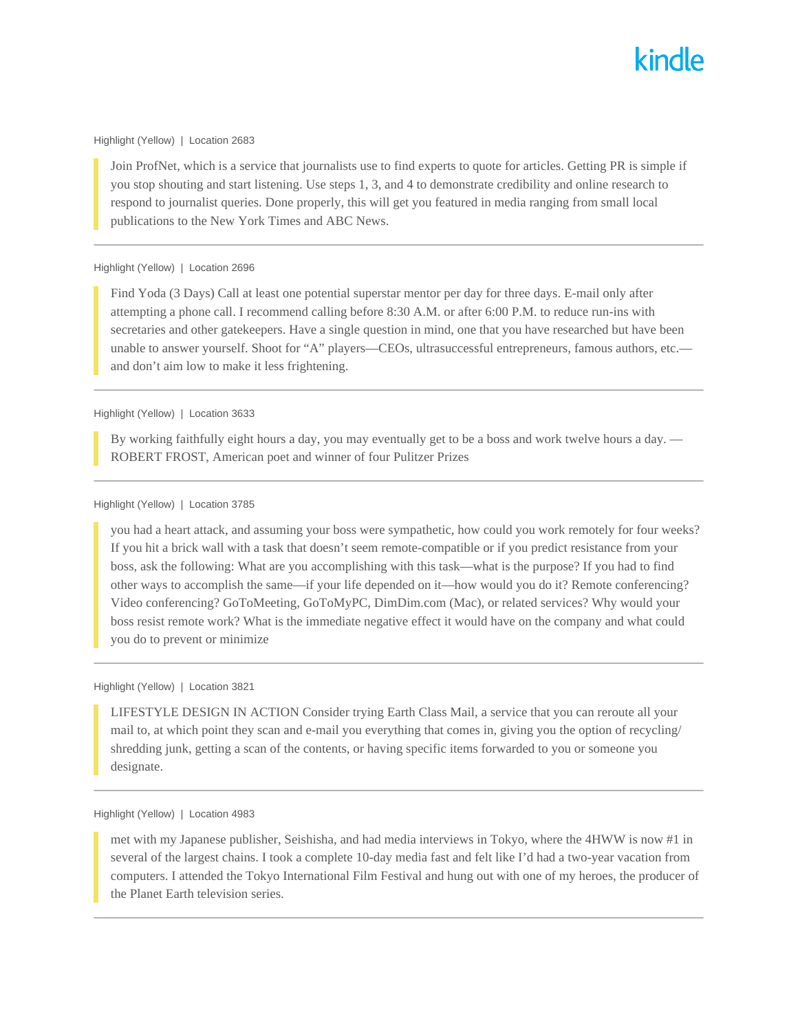## Highlight (Yellow) | Location 2683

Join ProfNet, which is a service that journalists use to find experts to quote for articles. Getting PR is simple if you stop shouting and start listening. Use steps 1, 3, and 4 to demonstrate credibility and online research to respond to journalist queries. Done properly, this will get you featured in media ranging from small local publications to the New York Times and ABC News.

## Highlight (Yellow) | Location 2696

Find Yoda (3 Days) Call at least one potential superstar mentor per day for three days. E-mail only after attempting a phone call. I recommend calling before 8:30 A.M. or after 6:00 P.M. to reduce run-ins with secretaries and other gatekeepers. Have a single question in mind, one that you have researched but have been unable to answer yourself. Shoot for "A" players—CEOs, ultrasuccessful entrepreneurs, famous authors, etc. and don't aim low to make it less frightening.

## Highlight (Yellow) | Location 3633

By working faithfully eight hours a day, you may eventually get to be a boss and work twelve hours a day. — ROBERT FROST, American poet and winner of four Pulitzer Prizes

#### Highlight (Yellow) | Location 3785

you had a heart attack, and assuming your boss were sympathetic, how could you work remotely for four weeks? If you hit a brick wall with a task that doesn't seem remote-compatible or if you predict resistance from your boss, ask the following: What are you accomplishing with this task—what is the purpose? If you had to find other ways to accomplish the same—if your life depended on it—how would you do it? Remote conferencing? Video conferencing? GoToMeeting, GoToMyPC, DimDim.com (Mac), or related services? Why would your boss resist remote work? What is the immediate negative effect it would have on the company and what could you do to prevent or minimize

## Highlight (Yellow) | Location 3821

LIFESTYLE DESIGN IN ACTION Consider trying Earth Class Mail, a service that you can reroute all your mail to, at which point they scan and e-mail you everything that comes in, giving you the option of recycling/ shredding junk, getting a scan of the contents, or having specific items forwarded to you or someone you designate.

## Highlight (Yellow) | Location 4983

met with my Japanese publisher, Seishisha, and had media interviews in Tokyo, where the 4HWW is now #1 in several of the largest chains. I took a complete 10-day media fast and felt like I'd had a two-year vacation from computers. I attended the Tokyo International Film Festival and hung out with one of my heroes, the producer of the Planet Earth television series.